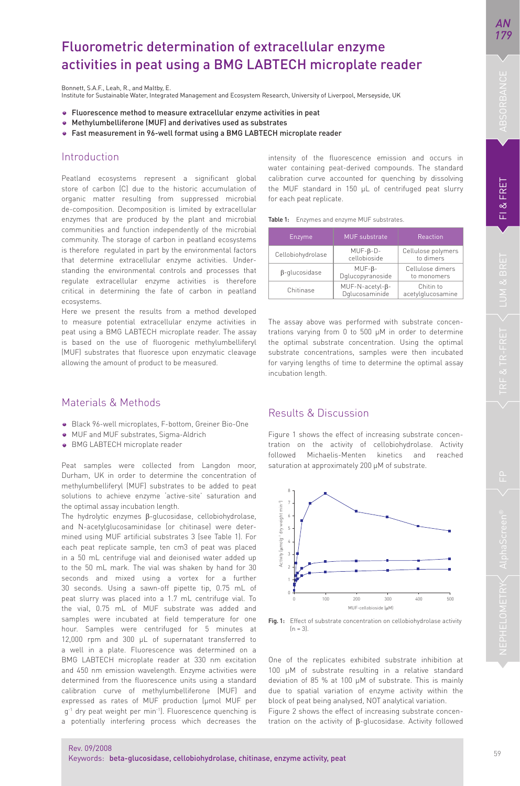# Fluorometric determination of extracellular enzyme activities in peat using a BMG LABTECH microplate reader

Bonnett, S.A.F., Leah, R., and Maltby, E. Institute for Sustainable Water, Integrated Management and Ecosystem Research, University of Liverpool, Merseyside, UK

- Fluorescence method to measure extracellular enzyme activities in peat
- Methylumbelliferone (MUF) and derivatives used as substrates
- Fast measurement in 96-well format using a BMG LABTECH microplate reader

## Introduction

Peatland ecosystems represent a significant global store of carbon (C) due to the historic accumulation of organic matter resulting from suppressed microbial de-composition. Decomposition is limited by extracellular enzymes that are produced by the plant and microbial communities and function independently of the microbial community. The storage of carbon in peatland ecosystems is therefore regulated in part by the environmental factors that determine extracellular enzyme activities. Understanding the environmental controls and processes that regulate extracellular enzyme activities is therefore critical in determining the fate of carbon in peatland ecosystems.

Here we present the results from a method developed to measure potential extracellular enzyme activities in peat using a BMG LABTECH microplate reader. The assay is based on the use of fluorogenic methylumbelliferyl (MUF) substrates that fluoresce upon enzymatic cleavage allowing the amount of product to be measured.

### Materials & Methods

- Black 96-well microplates, F-bottom, Greiner Bio-One
- MUF and MUF substrates, Sigma-Aldrich
- BMG LABTECH microplate reader

Peat samples were collected from Langdon moor, Durham, UK in order to determine the concentration of methylumbelliferyl (MUF) substrates to be added to peat solutions to achieve enzyme 'active-site' saturation and the optimal assay incubation length.

The hydrolytic enzymes β-glucosidase, cellobiohydrolase, and N-acetylglucosaminidase (or chitinase) were determined using MUF artificial substrates 3 (see Table 1). For each peat replicate sample, ten cm3 of peat was placed in a 50 mL centrifuge vial and deionised water added up to the 50 mL mark. The vial was shaken by hand for 30 seconds and mixed using a vortex for a further 30 seconds. Using a sawn-off pipette tip, 0.75 mL of peat slurry was placed into a 1.7 mL centrifuge vial. To the vial, 0.75 mL of MUF substrate was added and samples were incubated at field temperature for one hour. Samples were centrifuged for 5 minutes at 12,000 rpm and 300 μL of supernatant transferred to a well in a plate. Fluorescence was determined on a BMG LABTECH microplate reader at 330 nm excitation and 450 nm emission wavelength. Enzyme activities were determined from the fluorescence units using a standard calibration curve of methylumbelliferone (MUF) and expressed as rates of MUF production (μmol MUF per g<sup>-1</sup> dry peat weight per min<sup>-1</sup>). Fluorescence quenching is a potentially interfering process which decreases the intensity of the fluorescence emission and occurs in water containing peat-derived compounds. The standard calibration curve accounted for quenching by dissolving the MUF standard in 150 μL of centrifuged peat slurry for each peat replicate.

Table 1: Enzymes and enzyme MUF substrates.

| Enzyme            | <b>MUF</b> substrate                | Reaction                        |
|-------------------|-------------------------------------|---------------------------------|
| Cellobiohydrolase | $MUF-B-D-$<br>cellobioside          | Cellulose polymers<br>to dimers |
| B-glucosidase     | $MUF-B-$<br>Dqlucopyranoside        | Cellulose dimers<br>to monomers |
| Chitinase         | $MUF-N-acetyl-\beta-Dglucosaminide$ | Chitin to<br>acetylglucosamine  |

The assay above was performed with substrate concentrations varying from 0 to 500 μM in order to determine the optimal substrate concentration. Using the optimal substrate concentrations, samples were then incubated for varying lengths of time to determine the optimal assay incubation length.

### Results & Discussion

Figure 1 shows the effect of increasing substrate concentration on the activity of cellobiohydrolase. Activity followed Michaelis-Menten kinetics and reached saturation at approximately 200 μM of substrate.



Fig. 1: Effect of substrate concentration on cellobiohydrolase activity  $(n = 3)$ 

One of the replicates exhibited substrate inhibition at 100 μM of substrate resulting in a relative standard deviation of 85 % at 100 μM of substrate. This is mainly due to spatial variation of enzyme activity within the block of peat being analysed, NOT analytical variation.

Figure 2 shows the effect of increasing substrate concentration on the activity of β-glucosidase. Activity followed